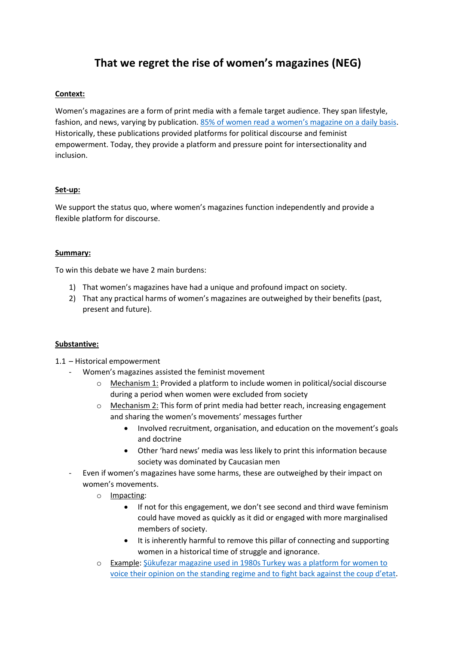# **That we regret the rise of women's magazines (NEG)**

## **Context:**

Women's magazines are a form of print media with a female target audience. They span lifestyle, fashion, and news, varying by publication. [85% of women read a women's magazine on a daily basis](https://www.marketingweek.com/lifestyle-not-age-is-key-to-womens-magazines/).). Historically, these publications provided platforms for political discourse and feminist empowerment. Today, they provide a platform and pressure point for intersectionality and inclusion.

#### **Set-up:**

We support the status quo, where women's magazines function independently and provide a flexible platform for discourse.

#### **Summary:**

To win this debate we have 2 main burdens:

- 1) That women's magazines have had a unique and profound impact on society.
- 2) That any practical harms of women's magazines are outweighed by their benefits (past, present and future).

## **Substantive:**

1.1 – Historical empowerment

- Women's magazines assisted the feminist movement
	- o Mechanism 1: Provided a platform to include women in political/social discourse during a period when women were excluded from society
	- o Mechanism 2: This form of print media had better reach, increasing engagement and sharing the women's movements' messages further
		- Involved recruitment, organisation, and education on the movement's goals and doctrine
		- Other 'hard news' media was less likely to print this information because society was dominated by Caucasian men
- Even if women's magazines have some harms, these are outweighed by their impact on women's movements.
	- o Impacting:
		- If not for this engagement, we don't see second and third wave feminism could have moved as quickly as it did or engaged with more marginalised members of society.
		- It is inherently harmful to remove this pillar of connecting and supporting women in a historical time of struggle and ignorance.
	- o Example: [Şükufezar magazine used in 1980s Turkey](https://www.hurriyetdailynews.com/womens-magazines-that-redefined-feminism-in-turkey-61249) was a platform for women to [voice their opinion on the standing regime and to](https://www.hurriyetdailynews.com/womens-magazines-that-redefined-feminism-in-turkey-61249) fight back against the coup d'etat.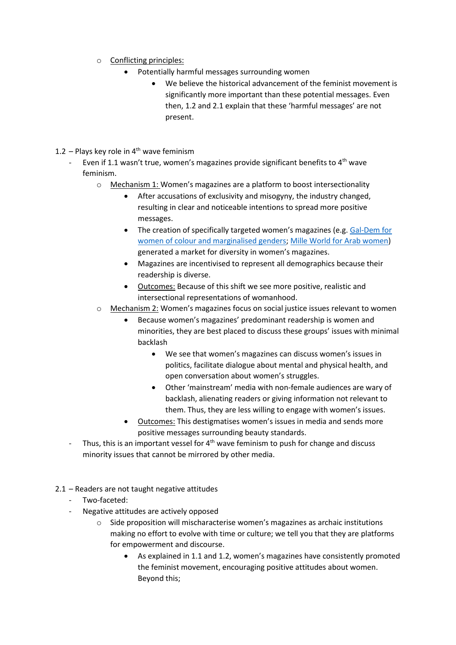- o Conflicting principles:
	- Potentially harmful messages surrounding women
		- We believe the historical advancement of the feminist movement is significantly more important than these potential messages. Even then, 1.2 and 2.1 explain that these 'harmful messages' are not present.
- 1.2 Plays key role in  $4<sup>th</sup>$  wave feminism
	- Even if 1.1 wasn't true, women's magazines provide significant benefits to  $4<sup>th</sup>$  wave feminism.
		- o Mechanism 1: Women's magazines are a platform to boost intersectionality
			- After accusations of exclusivity and misogyny, the industry changed, resulting in clear and noticeable intentions to spread more positive messages.
			- The creation of specifically targeted women's magazines (e.g. Gal-Dem for women [of colour and marginalised genders;](https://gal-dem.com/about/) [Mille World for Arab women\)](https://www.milleworld.com/contact/) generated a market for diversity in women's magazines.
			- Magazines are incentivised to represent all demographics because their readership is diverse.
			- Outcomes: Because of this shift we see more positive, realistic and intersectional representations of womanhood.
		- o Mechanism 2: Women's magazines focus on social justice issues relevant to women
			- Because women's magazines' predominant readership is women and minorities, they are best placed to discuss these groups' issues with minimal backlash
				- We see that women's magazines can discuss women's issues in politics, facilitate dialogue about mental and physical health, and open conversation about women's struggles.
				- Other 'mainstream' media with non-female audiences are wary of backlash, alienating readers or giving information not relevant to them. Thus, they are less willing to engage with women's issues.
			- Outcomes: This destigmatises women's issues in media and sends more positive messages surrounding beauty standards.
	- Thus, this is an important vessel for  $4<sup>th</sup>$  wave feminism to push for change and discuss minority issues that cannot be mirrored by other media.
- 2.1 Readers are not taught negative attitudes
	- Two-faceted:
	- Negative attitudes are actively opposed
		- $\circ$  Side proposition will mischaracterise women's magazines as archaic institutions making no effort to evolve with time or culture; we tell you that they are platforms for empowerment and discourse.
			- As explained in 1.1 and 1.2, women's magazines have consistently promoted the feminist movement, encouraging positive attitudes about women. Beyond this;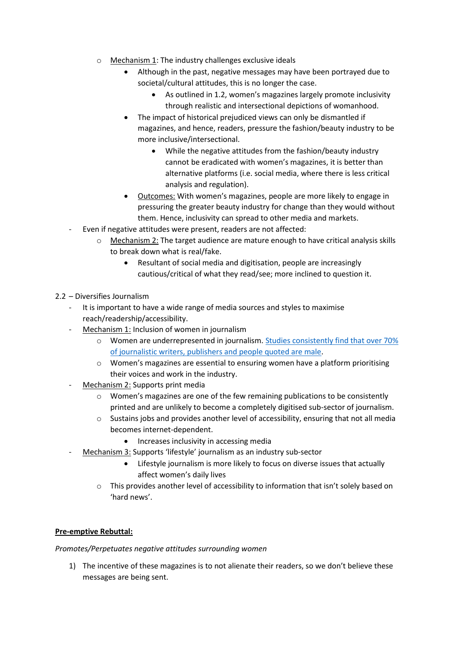- o Mechanism 1: The industry challenges exclusive ideals
	- Although in the past, negative messages may have been portrayed due to societal/cultural attitudes, this is no longer the case.
		- As outlined in 1.2, women's magazines largely promote inclusivity through realistic and intersectional depictions of womanhood.
	- The impact of historical prejudiced views can only be dismantled if magazines, and hence, readers, pressure the fashion/beauty industry to be more inclusive/intersectional.
		- While the negative attitudes from the fashion/beauty industry cannot be eradicated with women's magazines, it is better than alternative platforms (i.e. social media, where there is less critical analysis and regulation).
	- Outcomes: With women's magazines, people are more likely to engage in pressuring the greater beauty industry for change than they would without them. Hence, inclusivity can spread to other media and markets.
- Even if negative attitudes were present, readers are not affected:
	- Mechanism 2: The target audience are mature enough to have critical analysis skills to break down what is real/fake.
		- Resultant of social media and digitisation, people are increasingly cautious/critical of what they read/see; more inclined to question it.
- 2.2 Diversifies Journalism
	- It is important to have a wide range of media sources and styles to maximise reach/readership/accessibility.
	- Mechanism 1: Inclusion of women in journalism
		- o Women are underrepresented in journalism[. Studies consistently find that over 70%](https://theconversation.com/male-voices-dominate-the-news-heres-how-journalists-and-female-experts-can-turn-this-around-160209)  [of journalistic writers, publishers](https://theconversation.com/male-voices-dominate-the-news-heres-how-journalists-and-female-experts-can-turn-this-around-160209) and people quoted are male.
		- o Women's magazines are essential to ensuring women have a platform prioritising their voices and work in the industry.
	- Mechanism 2: Supports print media
		- o Women's magazines are one of the few remaining publications to be consistently printed and are unlikely to become a completely digitised sub-sector of journalism.
		- o Sustains jobs and provides another level of accessibility, ensuring that not all media becomes internet-dependent.
			- Increases inclusivity in accessing media
	- Mechanism 3: Supports 'lifestyle' journalism as an industry sub-sector
		- Lifestyle journalism is more likely to focus on diverse issues that actually affect women's daily lives
		- o This provides another level of accessibility to information that isn't solely based on 'hard news'.

## **Pre-emptive Rebuttal:**

*Promotes/Perpetuates negative attitudes surrounding women*

1) The incentive of these magazines is to not alienate their readers, so we don't believe these messages are being sent.